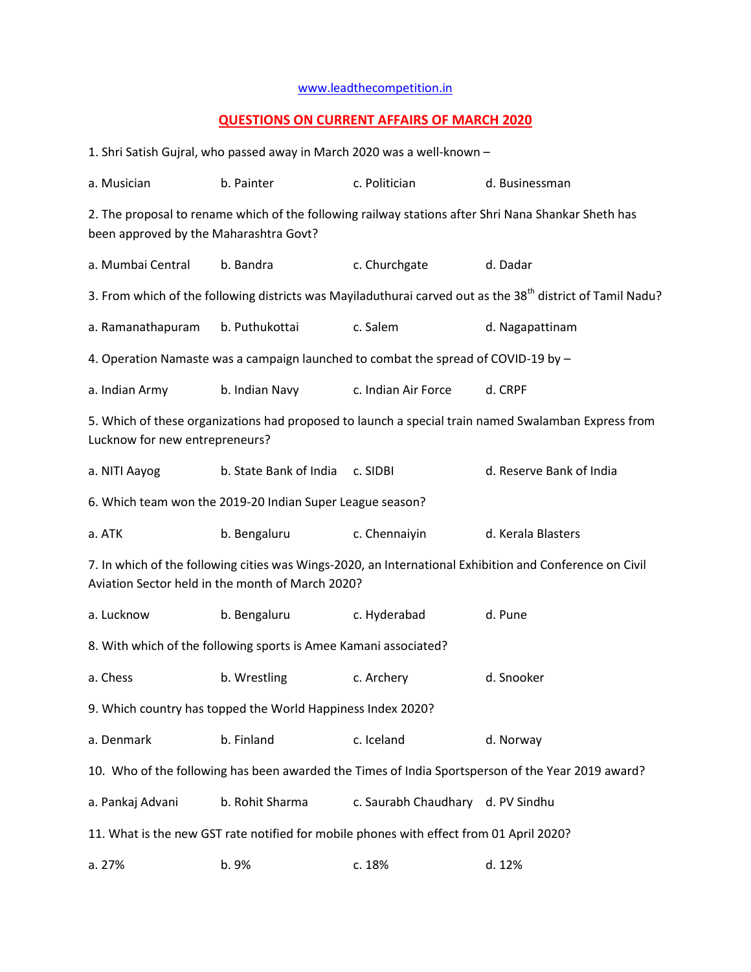## [www.leadthecompetition.in](http://www.leadthecompetition.in/)

## **QUESTIONS ON CURRENT AFFAIRS OF MARCH 2020**

| 1. Shri Satish Gujral, who passed away in March 2020 was a well-known -                                                                                     |                        |                                   |                          |  |  |  |  |  |
|-------------------------------------------------------------------------------------------------------------------------------------------------------------|------------------------|-----------------------------------|--------------------------|--|--|--|--|--|
| a. Musician                                                                                                                                                 | b. Painter             | c. Politician                     | d. Businessman           |  |  |  |  |  |
| 2. The proposal to rename which of the following railway stations after Shri Nana Shankar Sheth has<br>been approved by the Maharashtra Govt?               |                        |                                   |                          |  |  |  |  |  |
| a. Mumbai Central                                                                                                                                           | b. Bandra              | c. Churchgate                     | d. Dadar                 |  |  |  |  |  |
| 3. From which of the following districts was Mayiladuthurai carved out as the 38 <sup>th</sup> district of Tamil Nadu?                                      |                        |                                   |                          |  |  |  |  |  |
| a. Ramanathapuram                                                                                                                                           | b. Puthukottai         | c. Salem                          | d. Nagapattinam          |  |  |  |  |  |
| 4. Operation Namaste was a campaign launched to combat the spread of COVID-19 by -                                                                          |                        |                                   |                          |  |  |  |  |  |
| a. Indian Army                                                                                                                                              | b. Indian Navy         | c. Indian Air Force               | d. CRPF                  |  |  |  |  |  |
| 5. Which of these organizations had proposed to launch a special train named Swalamban Express from<br>Lucknow for new entrepreneurs?                       |                        |                                   |                          |  |  |  |  |  |
| a. NITI Aayog                                                                                                                                               | b. State Bank of India | c. SIDBI                          | d. Reserve Bank of India |  |  |  |  |  |
| 6. Which team won the 2019-20 Indian Super League season?                                                                                                   |                        |                                   |                          |  |  |  |  |  |
| a. ATK                                                                                                                                                      | b. Bengaluru           | c. Chennaiyin                     | d. Kerala Blasters       |  |  |  |  |  |
| 7. In which of the following cities was Wings-2020, an International Exhibition and Conference on Civil<br>Aviation Sector held in the month of March 2020? |                        |                                   |                          |  |  |  |  |  |
| a. Lucknow                                                                                                                                                  | b. Bengaluru           | c. Hyderabad                      | d. Pune                  |  |  |  |  |  |
| 8. With which of the following sports is Amee Kamani associated?                                                                                            |                        |                                   |                          |  |  |  |  |  |
| a. Chess                                                                                                                                                    | b. Wrestling           | c. Archery                        | d. Snooker               |  |  |  |  |  |
| 9. Which country has topped the World Happiness Index 2020?                                                                                                 |                        |                                   |                          |  |  |  |  |  |
| a. Denmark                                                                                                                                                  | b. Finland             | c. Iceland                        | d. Norway                |  |  |  |  |  |
| 10. Who of the following has been awarded the Times of India Sportsperson of the Year 2019 award?                                                           |                        |                                   |                          |  |  |  |  |  |
| a. Pankaj Advani                                                                                                                                            | b. Rohit Sharma        | c. Saurabh Chaudhary d. PV Sindhu |                          |  |  |  |  |  |
| 11. What is the new GST rate notified for mobile phones with effect from 01 April 2020?                                                                     |                        |                                   |                          |  |  |  |  |  |
| a. 27%                                                                                                                                                      | b. 9%                  | c. 18%                            | d. 12%                   |  |  |  |  |  |